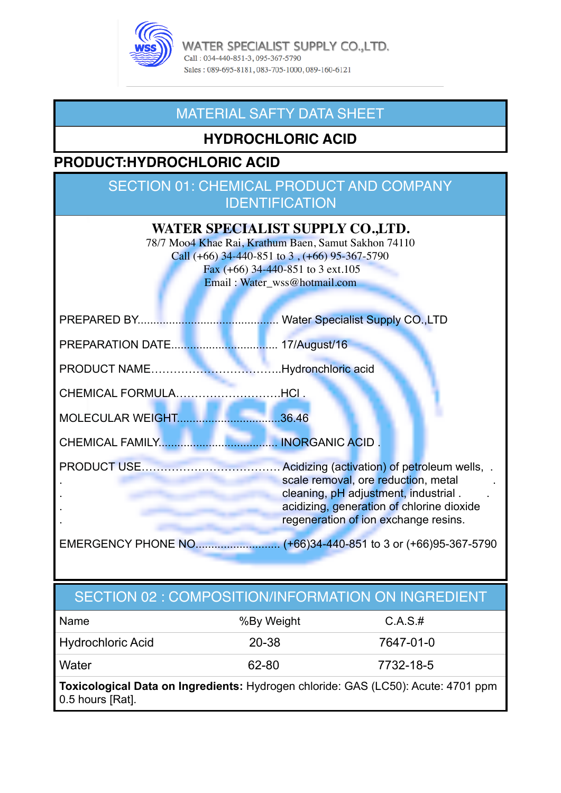

WATER SPECIALIST SUPPLY CO.,LTD. Call: 034-440-851-3, 095-367-5790 Sales: 089-695-8181, 083-705-1000, 089-160-6121

### MATERIAL SAFTY DATA SHEET

### **HYDROCHLORIC ACID**

### **PRODUCT:HYDROCHLORIC ACID**

### SECTION 01: CHEMICAL PRODUCT AND COMPANY **IDENTIFICATION**

| WATER SPECIALIST SUPPLY CO.,LTD.<br>78/7 Moo4 Khae Rai, Krathum Baen, Samut Sakhon 74110<br>Call $(+66)$ 34-440-851 to 3, $(+66)$ 95-367-5790<br>Fax $(+66)$ 34-440-851 to 3 ext.105<br>Email: Water_wss@hotmail.com |                                                                                                                                                                  |  |
|----------------------------------------------------------------------------------------------------------------------------------------------------------------------------------------------------------------------|------------------------------------------------------------------------------------------------------------------------------------------------------------------|--|
| <b>PREPARED BY</b>                                                                                                                                                                                                   |                                                                                                                                                                  |  |
|                                                                                                                                                                                                                      |                                                                                                                                                                  |  |
|                                                                                                                                                                                                                      |                                                                                                                                                                  |  |
| CHEMICAL FORMULAHCI.                                                                                                                                                                                                 |                                                                                                                                                                  |  |
| MOLECULAR WEIGHT36.46                                                                                                                                                                                                |                                                                                                                                                                  |  |
|                                                                                                                                                                                                                      |                                                                                                                                                                  |  |
|                                                                                                                                                                                                                      | scale removal, ore reduction, metal<br>cleaning, pH adjustment, industrial.<br>acidizing, generation of chlorine dioxide<br>regeneration of ion exchange resins. |  |
|                                                                                                                                                                                                                      |                                                                                                                                                                  |  |

## SECTION 02 : COMPOSITION/INFORMATION ON INGREDIENT

| Name                                                                              | %By Weight | C.A.S.#   |
|-----------------------------------------------------------------------------------|------------|-----------|
| Hydrochloric Acid                                                                 | 20-38      | 7647-01-0 |
| ∣ Water                                                                           | 62-80      | 7732-18-5 |
| Toxicological Data on Ingredients: Hydrogen chloride: GAS (LC50): Acute: 4701 ppm |            |           |

0.5 hours [Rat].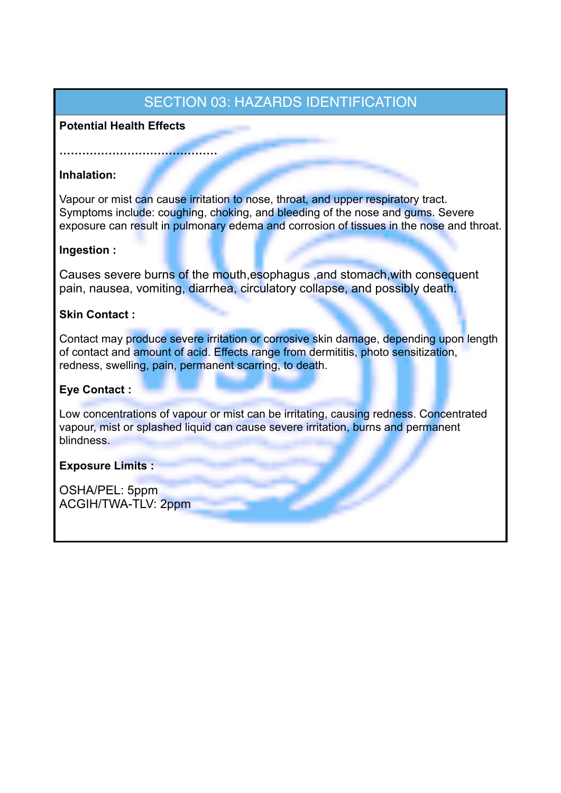### SECTION 03: HAZARDS IDENTIFICATION

### **Potential Health Effects**

**……………………………………** 

### **Inhalation:**

Vapour or mist can cause irritation to nose, throat, and upper respiratory tract. Symptoms include: coughing, choking, and bleeding of the nose and gums. Severe exposure can result in pulmonary edema and corrosion of tissues in the nose and throat.

#### **Ingestion :**

Causes severe burns of the mouth,esophagus ,and stomach,with consequent pain, nausea, vomiting, diarrhea, circulatory collapse, and possibly death.

### **Skin Contact :**

Contact may produce severe irritation or corrosive skin damage, depending upon length of contact and amount of acid. Effects range from dermititis, photo sensitization, redness, swelling, pain, permanent scarring, to death.

### **Eye Contact :**

Low concentrations of vapour or mist can be irritating, causing redness. Concentrated vapour, mist or splashed liquid can cause severe irritation, burns and permanent blindness.

### **Exposure Limits :**

OSHA/PEL: 5ppm ACGIH/TWA-TLV: 2ppm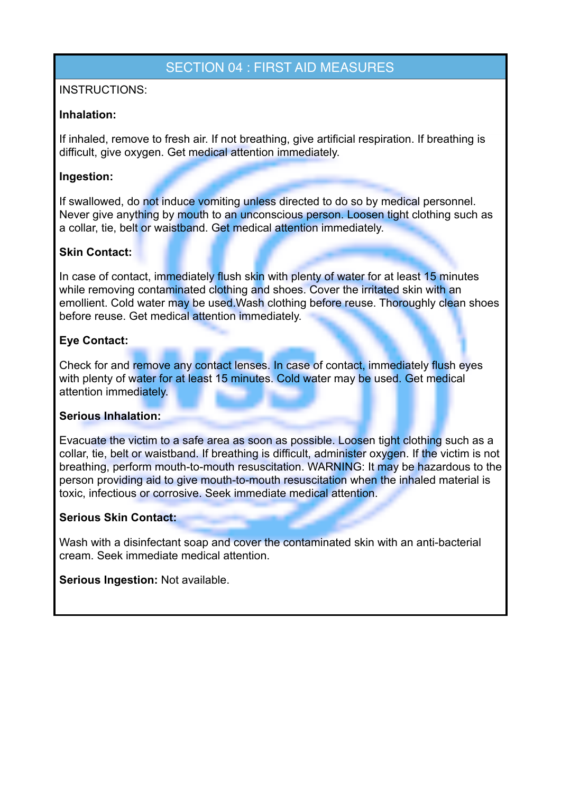### SECTION 04 : FIRST AID MEASURES

### INSTRUCTIONS:

#### **Inhalation:**

If inhaled, remove to fresh air. If not breathing, give artificial respiration. If breathing is difficult, give oxygen. Get medical attention immediately.

### **Ingestion:**

If swallowed, do not induce vomiting unless directed to do so by medical personnel. Never give anything by mouth to an unconscious person. Loosen tight clothing such as a collar, tie, belt or waistband. Get medical attention immediately.

#### **Skin Contact:**

In case of contact, immediately flush skin with plenty of water for at least 15 minutes while removing contaminated clothing and shoes. Cover the irritated skin with an emollient. Cold water may be used. Wash clothing before reuse. Thoroughly clean shoes before reuse. Get medical attention immediately.

### **Eye Contact:**

Check for and remove any contact lenses. In case of contact, immediately flush eyes with plenty of water for at least 15 minutes. Cold water may be used. Get medical attention immediately.

#### **Serious Inhalation:**

Evacuate the victim to a safe area as soon as possible. Loosen tight clothing such as a collar, tie, belt or waistband. If breathing is difficult, administer oxygen. If the victim is not breathing, perform mouth-to-mouth resuscitation. WARNING: It may be hazardous to the person providing aid to give mouth-to-mouth resuscitation when the inhaled material is toxic, infectious or corrosive. Seek immediate medical attention.

#### **Serious Skin Contact:**

Wash with a disinfectant soap and cover the contaminated skin with an anti-bacterial cream. Seek immediate medical attention.

**Serious Ingestion:** Not available.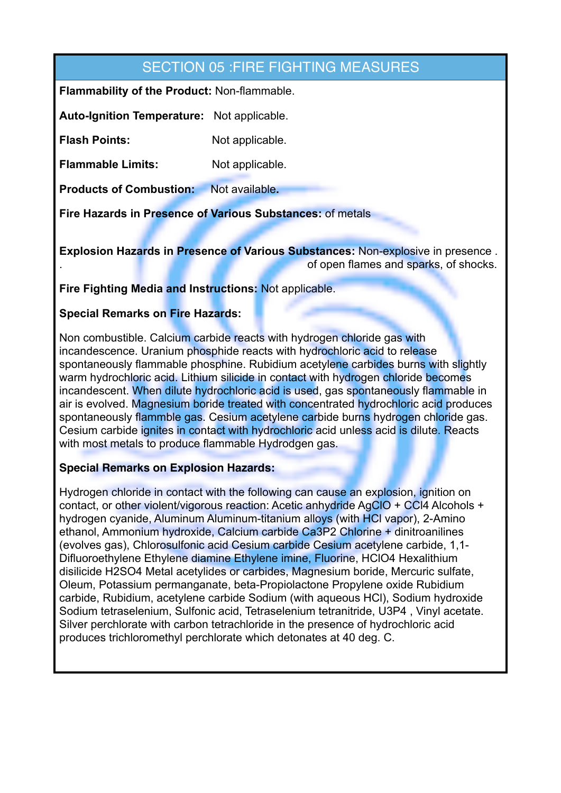### SECTION 05 :FIRE FIGHTING MEASURES

**Flammability of the Product:** Non-flammable.

**Auto-Ignition Temperature:** Not applicable.

**Flash Points:** Not applicable.

**Flammable Limits:** Not applicable.

**Products of Combustion:** Not available**.**

**Fire Hazards in Presence of Various Substances:** of metals

**Explosion Hazards in Presence of Various Substances:** Non-explosive in presence . . of open flames and sparks, of shocks.

**Fire Fighting Media and Instructions:** Not applicable.

### **Special Remarks on Fire Hazards:**

Non combustible. Calcium carbide reacts with hydrogen chloride gas with incandescence. Uranium phosphide reacts with hydrochloric acid to release spontaneously flammable phosphine. Rubidium acetylene carbides burns with slightly warm hydrochloric acid. Lithium silicide in contact with hydrogen chloride becomes incandescent. When dilute hydrochloric acid is used, gas spontaneously flammable in air is evolved. Magnesium boride treated with concentrated hydrochloric acid produces spontaneously flammble gas. Cesium acetylene carbide burns hydrogen chloride gas. Cesium carbide ignites in contact with hydrochloric acid unless acid is dilute. Reacts with most metals to produce flammable Hydrodgen gas.

### **Special Remarks on Explosion Hazards:**

Hydrogen chloride in contact with the following can cause an explosion, ignition on contact, or other violent/vigorous reaction: Acetic anhydride AgClO + CCl4 Alcohols + hydrogen cyanide, Aluminum Aluminum-titanium alloys (with HCl vapor), 2-Amino ethanol, Ammonium hydroxide, Calcium carbide Ca3P2 Chlorine + dinitroanilines (evolves gas), Chlorosulfonic acid Cesium carbide Cesium acetylene carbide, 1,1- Difluoroethylene Ethylene diamine Ethylene imine, Fluorine, HClO4 Hexalithium disilicide H2SO4 Metal acetylides or carbides, Magnesium boride, Mercuric sulfate, Oleum, Potassium permanganate, beta-Propiolactone Propylene oxide Rubidium carbide, Rubidium, acetylene carbide Sodium (with aqueous HCl), Sodium hydroxide Sodium tetraselenium, Sulfonic acid, Tetraselenium tetranitride, U3P4 , Vinyl acetate. Silver perchlorate with carbon tetrachloride in the presence of hydrochloric acid produces trichloromethyl perchlorate which detonates at 40 deg. C.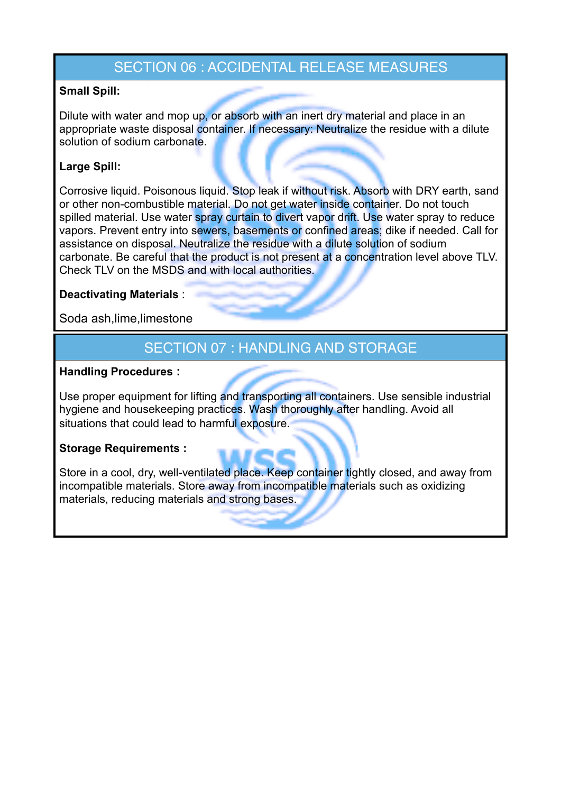### SECTION 06 : ACCIDENTAL RELEASE MEASURES

### **Small Spill:**

Dilute with water and mop up, or absorb with an inert dry material and place in an appropriate waste disposal container. If necessary: Neutralize the residue with a dilute solution of sodium carbonate.

### **Large Spill:**

Corrosive liquid. Poisonous liquid. Stop leak if without risk. Absorb with DRY earth, sand or other non-combustible material. Do not get water inside container. Do not touch spilled material. Use water spray curtain to divert vapor drift. Use water spray to reduce vapors. Prevent entry into sewers, basements or confined areas; dike if needed. Call for assistance on disposal. Neutralize the residue with a dilute solution of sodium carbonate. Be careful that the product is not present at a concentration level above TLV. Check TLV on the MSDS and with local authorities.

### **Deactivating Materials** :

Soda ash,lime,limestone

### SECTION 07 : HANDLING AND STORAGE

### **Handling Procedures :**

Use proper equipment for lifting and transporting all containers. Use sensible industrial hygiene and housekeeping practices. Wash thoroughly after handling. Avoid all situations that could lead to harmful exposure.

### **Storage Requirements :**

Store in a cool, dry, well-ventilated place. Keep container tightly closed, and away from incompatible materials. Store away from incompatible materials such as oxidizing materials, reducing materials and strong bases.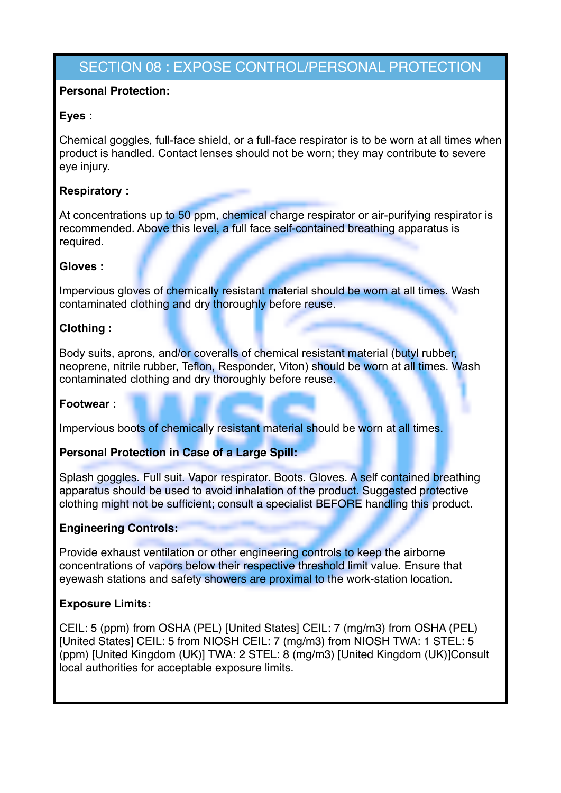### SECTION 08 : EXPOSE CONTROL/PERSONAL PROTECTION

### **Personal Protection:**

### **Eyes :**

Chemical goggles, full-face shield, or a full-face respirator is to be worn at all times when product is handled. Contact lenses should not be worn; they may contribute to severe eye injury.

### **Respiratory :**

At concentrations up to 50 ppm, chemical charge respirator or air-purifying respirator is recommended. Above this level, a full face self-contained breathing apparatus is required.

#### **Gloves :**

Impervious gloves of chemically resistant material should be worn at all times. Wash contaminated clothing and dry thoroughly before reuse.

### **Clothing :**

Body suits, aprons, and/or coveralls of chemical resistant material (butyl rubber, neoprene, nitrile rubber, Teflon, Responder, Viton) should be worn at all times. Wash contaminated clothing and dry thoroughly before reuse.

#### **Footwear :**

Impervious boots of chemically resistant material should be worn at all times.

#### **Personal Protection in Case of a Large Spill:**

Splash goggles. Full suit. Vapor respirator. Boots. Gloves. A self contained breathing apparatus should be used to avoid inhalation of the product. Suggested protective clothing might not be sufficient; consult a specialist BEFORE handling this product.

#### **Engineering Controls:**

Provide exhaust ventilation or other engineering controls to keep the airborne concentrations of vapors below their respective threshold limit value. Ensure that eyewash stations and safety showers are proximal to the work-station location.

#### **Exposure Limits:**

CEIL: 5 (ppm) from OSHA (PEL) [United States] CEIL: 7 (mg/m3) from OSHA (PEL) [United States] CEIL: 5 from NIOSH CEIL: 7 (mg/m3) from NIOSH TWA: 1 STEL: 5 (ppm) [United Kingdom (UK)] TWA: 2 STEL: 8 (mg/m3) [United Kingdom (UK)]Consult local authorities for acceptable exposure limits.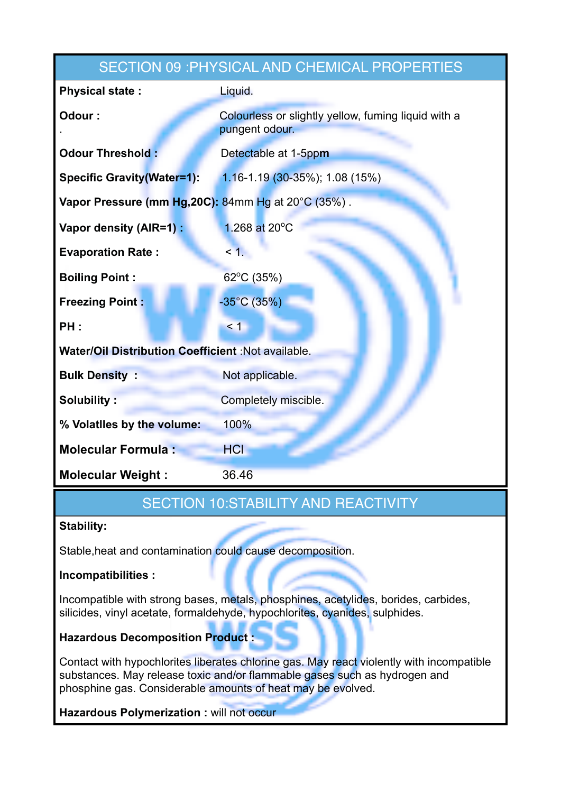| SECTION 09 : PHYSICAL AND CHEMICAL PROPERTIES             |                                                                       |  |
|-----------------------------------------------------------|-----------------------------------------------------------------------|--|
| <b>Physical state:</b>                                    | Liquid.                                                               |  |
| Odour:                                                    | Colourless or slightly yellow, fuming liquid with a<br>pungent odour. |  |
| <b>Odour Threshold:</b>                                   | Detectable at 1-5ppm                                                  |  |
| <b>Specific Gravity (Water=1):</b>                        | $1.16 - 1.19$ (30-35%); 1.08 (15%)                                    |  |
| Vapor Pressure (mm Hg, 20C): 84mm Hg at 20°C (35%).       |                                                                       |  |
| Vapor density (AIR=1) :                                   | 1.268 at 20°C                                                         |  |
| <b>Evaporation Rate:</b>                                  | $\leq$ 1.                                                             |  |
| <b>Boiling Point:</b>                                     | 62°C (35%)                                                            |  |
| <b>Freezing Point:</b>                                    | $-35^{\circ}$ C (35%)                                                 |  |
| PH:                                                       | $\leq 1$                                                              |  |
| <b>Water/Oil Distribution Coefficient :Not available.</b> |                                                                       |  |
| <b>Bulk Density:</b>                                      | Not applicable.                                                       |  |
| <b>Solubility:</b>                                        | Completely miscible.                                                  |  |
| % Volatiles by the volume:                                | 100%                                                                  |  |
| <b>Molecular Formula:</b>                                 | HCI                                                                   |  |
| <b>Molecular Weight:</b>                                  | 36.46                                                                 |  |

### SECTION 10:STABILITY AND REACTIVITY

### **Stability:**

Stable,heat and contamination could cause decomposition.

### **Incompatibilities :**

Incompatible with strong bases, metals, phosphines, acetylides, borides, carbides, silicides, vinyl acetate, formaldehyde, hypochlorites, cyanides, sulphides.

**Hazardous Decomposition Product :** 

Contact with hypochlorites liberates chlorine gas. May react violently with incompatible substances. May release toxic and/or flammable gases such as hydrogen and phosphine gas. Considerable amounts of heat may be evolved.

**Hazardous Polymerization : will not occur**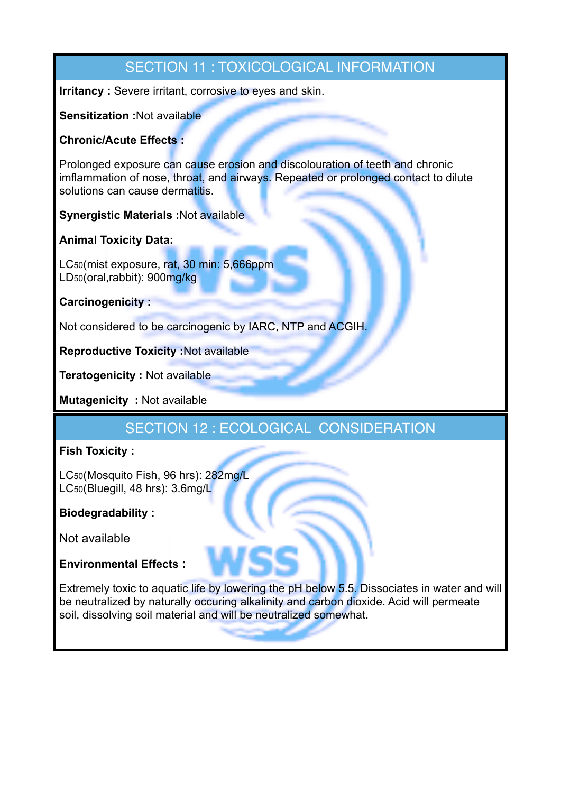# SECTION 11 : TOXICOLOGICAL INFORMATION **Irritancy :** Severe irritant, corrosive to eyes and skin. **Sensitization :**Not available **Chronic/Acute Effects :**  Prolonged exposure can cause erosion and discolouration of teeth and chronic imflammation of nose, throat, and airways. Repeated or prolonged contact to dilute solutions can cause dermatitis. **Synergistic Materials :**Not available **Animal Toxicity Data:**  LC50(mist exposure, rat, 30 min: 5,666ppm LD50(oral,rabbit): 900mg/kg **Carcinogenicity :**  Not considered to be carcinogenic by IARC, NTP and ACGIH. **Reproductive Toxicity :**Not available **Teratogenicity :** Not available **Mutagenicity :** Not available SECTION 12 : ECOLOGICAL CONSIDERATION **Fish Toxicity :**

LC50(Mosquito Fish, 96 hrs): 282mg/L LC50(Bluegill, 48 hrs): 3.6mg/L

### **Biodegradability :**

Not available

### **Environmental Effects :**

Extremely toxic to aquatic life by lowering the pH below 5.5. Dissociates in water and will be neutralized by naturally occuring alkalinity and carbon dioxide. Acid will permeate soil, dissolving soil material and will be neutralized somewhat.